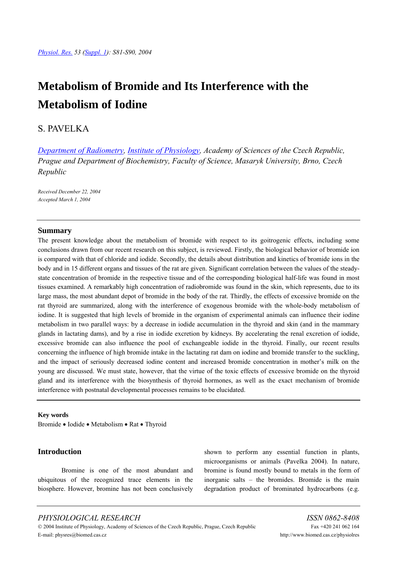# **Metabolism of Bromide and Its Interference with the Metabolism of Iodine**

# S. PAVELKA

*[Department of Radiometry](http://www.biomed.cas.cz/fgu/en/oddeleni/306.php), [Institute of Physiology](http://www.biomed.cas.cz/fgu/en/), Academy of Sciences of the Czech Republic, Prague and Department of Biochemistry, Faculty of Science, Masaryk University, Brno, Czech Republic* 

*Received December 22, 2004 Accepted March 1, 2004* 

#### **Summary**

The present knowledge about the metabolism of bromide with respect to its goitrogenic effects, including some conclusions drawn from our recent research on this subject, is reviewed. Firstly, the biological behavior of bromide ion is compared with that of chloride and iodide. Secondly, the details about distribution and kinetics of bromide ions in the body and in 15 different organs and tissues of the rat are given. Significant correlation between the values of the steadystate concentration of bromide in the respective tissue and of the corresponding biological half-life was found in most tissues examined. A remarkably high concentration of radiobromide was found in the skin, which represents, due to its large mass, the most abundant depot of bromide in the body of the rat. Thirdly, the effects of excessive bromide on the rat thyroid are summarized, along with the interference of exogenous bromide with the whole-body metabolism of iodine. It is suggested that high levels of bromide in the organism of experimental animals can influence their iodine metabolism in two parallel ways: by a decrease in iodide accumulation in the thyroid and skin (and in the mammary glands in lactating dams), and by a rise in iodide excretion by kidneys. By accelerating the renal excretion of iodide, excessive bromide can also influence the pool of exchangeable iodide in the thyroid. Finally, our recent results concerning the influence of high bromide intake in the lactating rat dam on iodine and bromide transfer to the suckling, and the impact of seriously decreased iodine content and increased bromide concentration in mother's milk on the young are discussed. We must state, however, that the virtue of the toxic effects of excessive bromide on the thyroid gland and its interference with the biosynthesis of thyroid hormones, as well as the exact mechanism of bromide interference with postnatal developmental processes remains to be elucidated.

#### **Key words**

Bromide • Iodide • Metabolism • Rat • Thyroid

#### **Introduction**

 Bromine is one of the most abundant and ubiquitous of the recognized trace elements in the biosphere. However, bromine has not been conclusively shown to perform any essential function in plants, microorganisms or animals (Pavelka 2004). In nature, bromine is found mostly bound to metals in the form of inorganic salts – the bromides. Bromide is the main degradation product of brominated hydrocarbons (e.g.

# *PHYSIOLOGICAL RESEARCH ISSN 0862-8408*

© 2004 Institute of Physiology, Academy of Sciences of the Czech Republic, Prague, Czech Republic Fax +420 241 062 164 E-mail: physres@biomed.cas.cz http://www.biomed.cas.cz/physiolres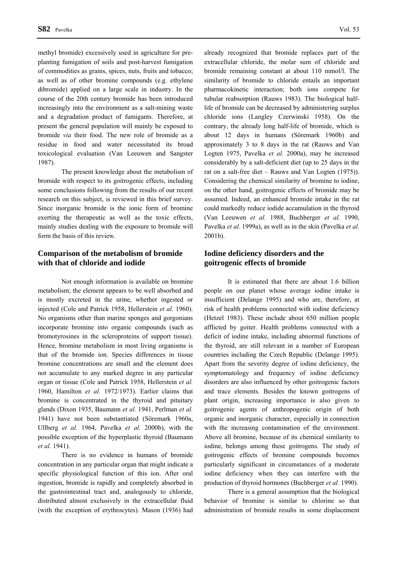methyl bromide) excessively used in agriculture for preplanting fumigation of soils and post-harvest fumigation of commodities as grains, spices, nuts, fruits and tobacco; as well as of other bromine compounds (e.g. ethylene dibromide) applied on a large scale in industry. In the course of the 20th century bromide has been introduced increasingly into the environment as a salt-mining waste and a degradation product of fumigants. Therefore, at present the general population will mainly be exposed to bromide *via* their food. The new role of bromide as a residue in food and water necessitated its broad toxicological evaluation (Van Leeuwen and Sangster 1987).

 The present knowledge about the metabolism of bromide with respect to its goitrogenic effects, including some conclusions following from the results of our recent research on this subject, is reviewed in this brief survey. Since inorganic bromide is the ionic form of bromine exerting the therapeutic as well as the toxic effects, mainly studies dealing with the exposure to bromide will form the basis of this review.

#### **Comparison of the metabolism of bromide with that of chloride and iodide**

 Not enough information is available on bromine metabolism; the element appears to be well absorbed and is mostly excreted in the urine, whether ingested or injected (Cole and Patrick 1958, Hellerstein *et al.* 1960). No organisms other than marine sponges and gorgonians incorporate bromine into organic compounds (such as bromotyrosines in the scleroproteins of support tissue). Hence, bromine metabolism in most living organisms is that of the bromide ion. Species differences in tissue bromine concentrations are small and the element does not accumulate to any marked degree in any particular organ or tissue (Cole and Patrick 1958, Hellerstein *et al.* 1960, Hamilton *et al.* 1972/1973). Earlier claims that bromine is concentrated in the thyroid and pituitary glands (Dixon 1935, Baumann *et al.* 1941, Perlman *et al.* 1941) have not been substantiated (Söremark 1960a, Ullberg *et al.* 1964, Pavelka *et al.* 2000b), with the possible exception of the hyperplastic thyroid (Baumann *et al.* 1941).

 There is no evidence in humans of bromide concentration in any particular organ that might indicate a specific physiological function of this ion. After oral ingestion, bromide is rapidly and completely absorbed in the gastrointestinal tract and, analogously to chloride, distributed almost exclusively in the extracellular fluid (with the exception of erythrocytes). Mason (1936) had already recognized that bromide replaces part of the extracellular chloride, the molar sum of chloride and bromide remaining constant at about 110 mmol/l. The similarity of bromide to chloride entails an important pharmacokinetic interaction; both ions compete for tubular reabsorption (Rauws 1983). The biological halflife of bromide can be decreased by administering surplus chloride ions (Langley Czerwinski 1958). On the contrary, the already long half-life of bromide, which is about 12 days in humans (Söremark 1960b) and approximately 3 to 8 days in the rat (Rauws and Van Logten 1975, Pavelka *et al.* 2000a), may be increased considerably by a salt-deficient diet (up to 25 days in the rat on a salt-free diet – Rauws and Van Logten (1975)). Considering the chemical similarity of bromine to iodine, on the other hand, goitrogenic effects of bromide may be assumed. Indeed, an enhanced bromide intake in the rat could markedly reduce iodide accumulation in the thyroid (Van Leeuwen *et al.* 1988, Buchberger *et al.* 1990, Pavelka *et al.* 1999a), as well as in the skin (Pavelka *et al.* 2001b).

### **Iodine deficiency disorders and the goitrogenic effects of bromide**

 It is estimated that there are about 1.6 billion people on our planet whose average iodine intake is insufficient (Delange 1995) and who are, therefore, at risk of health problems connected with iodine deficiency (Hetzel 1983). These include about 650 million people afflicted by goiter. Health problems connected with a deficit of iodine intake, including abnormal functions of the thyroid, are still relevant in a number of European countries including the Czech Republic (Delange 1995). Apart from the severity degree of iodine deficiency, the symptomatology and frequency of iodine deficiency disorders are also influenced by other goitrogenic factors and trace elements. Besides the known goitrogens of plant origin, increasing importance is also given to goitrogenic agents of anthropogenic origin of both organic and inorganic character, especially in connection with the increasing contamination of the environment. Above all bromine, because of its chemical similarity to iodine, belongs among these goitrogens. The study of goitrogenic effects of bromine compounds becomes particularly significant in circumstances of a moderate iodine deficiency when they can interfere with the production of thyroid hormones (Buchberger *et al.* 1990).

 There is a general assumption that the biological behavior of bromine is similar to chlorine so that administration of bromide results in some displacement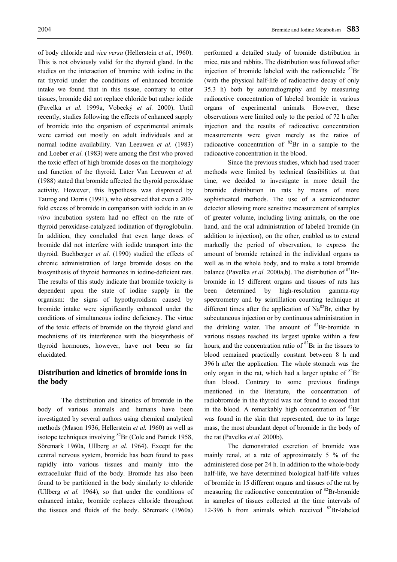of body chloride and *vice versa* (Hellerstein *et al.,* 1960). This is not obviously valid for the thyroid gland. In the studies on the interaction of bromine with iodine in the rat thyroid under the conditions of enhanced bromide intake we found that in this tissue, contrary to other tissues, bromide did not replace chloride but rather iodide (Pavelka *et al.* 1999a, Vobecký *et al.* 2000). Until recently, studies following the effects of enhanced supply of bromide into the organism of experimental animals were carried out mostly on adult individuals and at normal iodine availability. Van Leeuwen *et al.* (1983) and Loeber *et al.* (1983) were among the first who proved the toxic effect of high bromide doses on the morphology and function of the thyroid. Later Van Leeuwen *et al.*  (1988) stated that bromide affected the thyroid peroxidase activity. However, this hypothesis was disproved by Taurog and Dorris (1991), who observed that even a 200 fold excess of bromide in comparison with iodide in an *in vitro* incubation system had no effect on the rate of thyroid peroxidase-catalyzed iodination of thyroglobulin. In addition, they concluded that even large doses of bromide did not interfere with iodide transport into the thyroid. Buchberger *et al*. (1990) studied the effects of chronic administration of large bromide doses on the biosynthesis of thyroid hormones in iodine-deficient rats. The results of this study indicate that bromide toxicity is dependent upon the state of iodine supply in the organism: the signs of hypothyroidism caused by bromide intake were significantly enhanced under the conditions of simultaneous iodine deficiency. The virtue of the toxic effects of bromide on the thyroid gland and mechnisms of its interference with the biosynthesis of thyroid hormones, however, have not been so far elucidated.

#### **Distribution and kinetics of bromide ions in the body**

 The distribution and kinetics of bromide in the body of various animals and humans have been investigated by several authors using chemical analytical methods (Mason 1936, Hellerstein *et al.* 1960) as well as isotope techniques involving  ${}^{82}Br$  (Cole and Patrick 1958, Söremark 1960a, Ullberg *et al.* 1964). Except for the central nervous system, bromide has been found to pass rapidly into various tissues and mainly into the extracellular fluid of the body. Bromide has also been found to be partitioned in the body similarly to chloride (Ullberg *et al.* 1964), so that under the conditions of enhanced intake, bromide replaces chloride throughout the tissues and fluids of the body. Söremark (1960a) performed a detailed study of bromide distribution in mice, rats and rabbits. The distribution was followed after injection of bromide labeled with the radionuclide  ${}^{82}Br$ (with the physical half-life of radioactive decay of only 35.3 h) both by autoradiography and by measuring radioactive concentration of labeled bromide in various organs of experimental animals. However, these observations were limited only to the period of 72 h after injection and the results of radioactive concentration measurements were given merely as the ratios of radioactive concentration of  ${}^{82}Br$  in a sample to the radioactive concentration in the blood.

 Since the previous studies, which had used tracer methods were limited by technical feasibilities at that time, we decided to investigate in more detail the bromide distribution in rats by means of more sophisticated methods. The use of a semiconductor detector allowing more sensitive measurement of samples of greater volume, including living animals, on the one hand, and the oral administration of labeled bromide (in addition to injection), on the other, enabled us to extend markedly the period of observation, to express the amount of bromide retained in the individual organs as well as in the whole body, and to make a total bromide balance (Pavelka *et al.* 2000a,b). The distribution of <sup>82</sup>Brbromide in 15 different organs and tissues of rats has been determined by high-resolution gamma-ray spectrometry and by scintillation counting technique at different times after the application of  $Na^{82}Br$ , either by subcutaneous injection or by continuous administration in the drinking water. The amount of <sup>82</sup>Br-bromide in various tissues reached its largest uptake within a few hours, and the concentration ratio of <sup>82</sup>Br in the tissues to blood remained practically constant between 8 h and 396 h after the application. The whole stomach was the only organ in the rat, which had a larger uptake of  ${}^{82}Br$ than blood. Contrary to some previous findings mentioned in the literature, the concentration of radiobromide in the thyroid was not found to exceed that in the blood. A remarkably high concentration of  ${}^{82}Br$ was found in the skin that represented, due to its large mass, the most abundant depot of bromide in the body of the rat (Pavelka *et al.* 2000b).

 The demonstrated excretion of bromide was mainly renal, at a rate of approximately 5 % of the administered dose per 24 h. In addition to the whole-body half-life, we have determined biological half-life values of bromide in 15 different organs and tissues of the rat by measuring the radioactive concentration of <sup>82</sup>Br-bromide in samples of tissues collected at the time intervals of 12-396 h from animals which received  ${}^{82}Br$ -labeled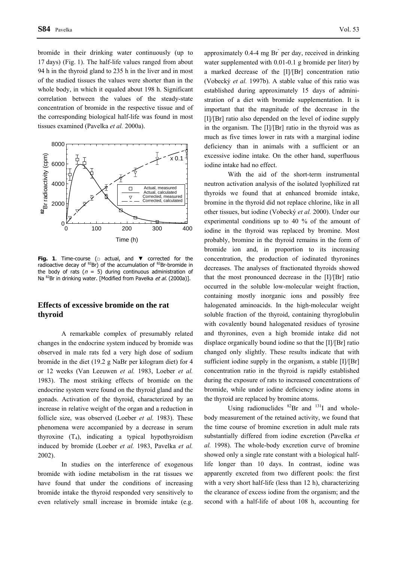bromide in their drinking water continuously (up to 17 days) (Fig. 1). The half-life values ranged from about 94 h in the thyroid gland to 235 h in the liver and in most of the studied tissues the values were shorter than in the whole body, in which it equaled about 198 h. Significant correlation between the values of the steady-state concentration of bromide in the respective tissue and of the corresponding biological half-life was found in most tissues examined (Pavelka *et al.* 2000a).



**Fig. 1**. Time-course (□ actual, and ▼ corrected for the radioactive decay of  ${}^{82}Br$ ) of the accumulation of  ${}^{82}Br$ -bromide in the body of rats ( $n = 5$ ) during continuous administration of Na  $^{82}$ Br in drinking water. [Modified from Pavelka *et al.* (2000a)].

### **Effects of excessive bromide on the rat thyroid**

A remarkable complex of presumably related changes in the endocrine system induced by bromide was observed in male rats fed a very high dose of sodium bromide in the diet (19.2 g NaBr per kilogram diet) for 4 or 12 weeks (Van Leeuwen *et al.* 1983, Loeber *et al.* 1983). The most striking effects of bromide on the endocrine system were found on the thyroid gland and the gonads. Activation of the thyroid, characterized by an increase in relative weight of the organ and a reduction in follicle size, was observed (Loeber *et al.* 1983). These phenomena were accompanied by a decrease in serum thyroxine  $(T_4)$ , indicating a typical hypothyroidism induced by bromide (Loeber *et al.* 1983, Pavelka *et al.* 2002).

In studies on the interference of exogenous bromide with iodine metabolism in the rat tissues we have found that under the conditions of increasing bromide intake the thyroid responded very sensitively to even relatively small increase in bromide intake (e.g.

approximately 0.4-4 mg Br per day, received in drinking water supplemented with 0.01-0.1 g bromide per liter) by a marked decrease of the [I]/[Br] concentration ratio (Vobecký *et al.* 1997b). A stable value of this ratio was established during approximately 15 days of administration of a diet with bromide supplementation. It is important that the magnitude of the decrease in the [I]/[Br] ratio also depended on the level of iodine supply in the organism. The [I]/[Br] ratio in the thyroid was as much as five times lower in rats with a marginal iodine deficiency than in animals with a sufficient or an excessive iodine intake. On the other hand, superfluous iodine intake had no effect.

With the aid of the short-term instrumental neutron activation analysis of the isolated lyophilized rat thyroids we found that at enhanced bromide intake, bromine in the thyroid did not replace chlorine, like in all other tissues, but iodine (Vobecký *et al.* 2000). Under our experimental conditions up to 40 % of the amount of iodine in the thyroid was replaced by bromine. Most probably, bromine in the thyroid remains in the form of bromide ion and, in proportion to its increasing concentration, the production of iodinated thyronines decreases. The analyses of fractionated thyroids showed that the most pronounced decrease in the [I]/[Br] ratio occurred in the soluble low-molecular weight fraction, containing mostly inorganic ions and possibly free halogenated aminoacids. In the high-molecular weight soluble fraction of the thyroid, containing thyroglobulin with covalently bound halogenated residues of tyrosine and thyronines, even a high bromide intake did not displace organically bound iodine so that the [I]/[Br] ratio changed only slightly. These results indicate that with sufficient iodine supply in the organism, a stable [I]/[Br] concentration ratio in the thyroid is rapidly established during the exposure of rats to increased concentrations of bromide, while under iodine deficiency iodine atoms in the thyroid are replaced by bromine atoms.

Using radionuclides  ${}^{82}Br$  and  ${}^{131}I$  and wholebody measurement of the retained activity, we found that the time course of bromine excretion in adult male rats substantially differed from iodine excretion (Pavelka *et al.* 1998). The whole-body excretion curve of bromine showed only a single rate constant with a biological halflife longer than 10 days. In contrast, iodine was apparently excreted from two different pools: the first with a very short half-life (less than 12 h), characterizing the clearance of excess iodine from the organism; and the second with a half-life of about 108 h, accounting for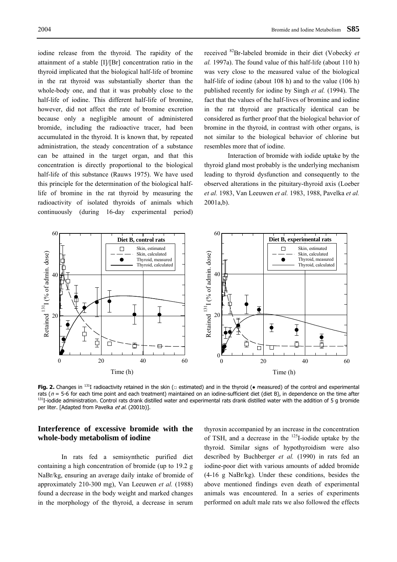iodine release from the thyroid. The rapidity of the attainment of a stable [I]/[Br] concentration ratio in the thyroid implicated that the biological half-life of bromine in the rat thyroid was substantially shorter than the whole-body one, and that it was probably close to the half-life of iodine. This different half-life of bromine, however, did not affect the rate of bromine excretion because only a negligible amount of administered bromide, including the radioactive tracer, had been accumulated in the thyroid. It is known that, by repeated administration, the steady concentration of a substance can be attained in the target organ, and that this concentration is directly proportional to the biological half-life of this substance (Rauws 1975). We have used this principle for the determination of the biological halflife of bromine in the rat thyroid by measuring the radioactivity of isolated thyroids of animals which continuously (during 16-day experimental period)

received 82Br-labeled bromide in their diet (Vobecký *et al.* 1997a). The found value of this half-life (about 110 h) was very close to the measured value of the biological half-life of iodine (about 108 h) and to the value (106 h) published recently for iodine by Singh *et al.* (1994). The fact that the values of the half-lives of bromine and iodine in the rat thyroid are practically identical can be considered as further proof that the biological behavior of bromine in the thyroid, in contrast with other organs, is not similar to the biological behavior of chlorine but resembles more that of iodine.

Interaction of bromide with iodide uptake by the thyroid gland most probably is the underlying mechanism leading to thyroid dysfunction and consequently to the observed alterations in the pituitary-thyroid axis (Loeber *et al.* 1983, Van Leeuwen *et al.* 1983, 1988, Pavelka *et al.* 2001a,b).



Fig. 2. Changes in <sup>131</sup>I radioactivity retained in the skin (□ estimated) and in the thyroid (• measured) of the control and experimental rats ( $n = 5$ -6 for each time point and each treatment) maintained on an iodine-sufficient diet (diet B), in dependence on the time after  $^{131}$ I-iodide administration. Control rats drank distilled water and experimental per liter. [Adapted from Pavelka et al. (2001b)].

#### **Interference of excessive bromide with the whole-body metabolism of iodine**

In rats fed a semisynthetic purified diet containing a high concentration of bromide (up to 19.2 g NaBr/kg, ensuring an average daily intake of bromide of approximately 210-300 mg), Van Leeuwen *et al.* (1988) found a decrease in the body weight and marked changes in the morphology of the thyroid, a decrease in serum

thyroxin accompanied by an increase in the concentration of TSH, and a decrease in the  $^{125}$ I-iodide uptake by the thyroid. Similar signs of hypothyroidism were also described by Buchberger *et al.* (1990) in rats fed an iodine-poor diet with various amounts of added bromide (4-16 g NaBr/kg). Under these conditions, besides the above mentioned findings even death of experimental animals was encountered. In a series of experiments performed on adult male rats we also followed the effects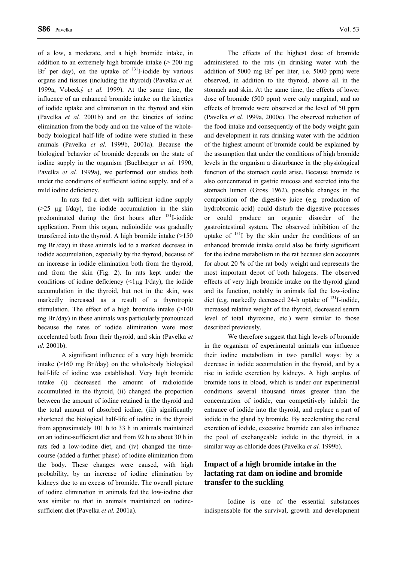of a low, a moderate, and a high bromide intake, in addition to an extremely high bromide intake (> 200 mg Br per day), on the uptake of  $^{131}$ I-iodide by various organs and tissues (including the thyroid) (Pavelka *et al.* 1999a, Vobecký *et al.* 1999). At the same time, the influence of an enhanced bromide intake on the kinetics of iodide uptake and elimination in the thyroid and skin (Pavelka *et al.* 2001b) and on the kinetics of iodine elimination from the body and on the value of the wholebody biological half-life of iodine were studied in these animals (Pavelka *et al.* 1999b, 2001a). Because the biological behavior of bromide depends on the state of iodine supply in the organism (Buchberger *et al.* 1990, Pavelka *et al.* 1999a), we performed our studies both under the conditions of sufficient iodine supply, and of a mild iodine deficiency.

 In rats fed a diet with sufficient iodine supply  $(>=25 \text{ ug}$  I/day), the iodide accumulation in the skin predominated during the first hours after <sup>131</sup>I-iodide application. From this organ, radioiodide was gradually transferred into the thyroid. A high bromide intake (>150 mg Br- /day) in these animals led to a marked decrease in iodide accumulation, especially by the thyroid, because of an increase in iodide elimination both from the thyroid, and from the skin (Fig. 2). In rats kept under the conditions of iodine deficiency  $($  < 1µg I/day), the iodide accumulation in the thyroid, but not in the skin, was markedly increased as a result of a thyrotropic stimulation. The effect of a high bromide intake (>100 mg Br- /day) in these animals was particularly pronounced because the rates of iodide elimination were most accelerated both from their thyroid, and skin (Pavelka *et al.* 2001b).

 A significant influence of a very high bromide intake  $(>160 \text{ mg Br/day})$  on the whole-body biological half-life of iodine was established. Very high bromide intake (i) decreased the amount of radioiodide accumulated in the thyroid, (ii) changed the proportion between the amount of iodine retained in the thyroid and the total amount of absorbed iodine, (iii) significantly shortened the biological half-life of iodine in the thyroid from approximately 101 h to 33 h in animals maintained on an iodine-sufficient diet and from 92 h to about 30 h in rats fed a low-iodine diet, and (iv) changed the timecourse (added a further phase) of iodine elimination from the body. These changes were caused, with high probability, by an increase of iodine elimination by kidneys due to an excess of bromide. The overall picture of iodine elimination in animals fed the low-iodine diet was similar to that in animals maintained on iodinesufficient diet (Pavelka *et al.* 2001a).

 The effects of the highest dose of bromide administered to the rats (in drinking water with the addition of 5000 mg Br<sup>-</sup>per liter, i.e. 5000 ppm) were observed, in addition to the thyroid, above all in the stomach and skin. At the same time, the effects of lower dose of bromide (500 ppm) were only marginal, and no effects of bromide were observed at the level of 50 ppm (Pavelka *et al.* 1999a, 2000c). The observed reduction of the food intake and consequently of the body weight gain and development in rats drinking water with the addition of the highest amount of bromide could be explained by the assumption that under the conditions of high bromide levels in the organism a disturbance in the physiological function of the stomach could arise. Because bromide is also concentrated in gastric mucosa and secreted into the stomach lumen (Gross 1962), possible changes in the composition of the digestive juice (e.g. production of hydrobromic acid) could disturb the digestive processes or could produce an organic disorder of the gastrointestinal system. The observed inhibition of the uptake of  $131$  by the skin under the conditions of an enhanced bromide intake could also be fairly significant for the iodine metabolism in the rat because skin accounts for about 20 % of the rat body weight and represents the most important depot of both halogens. The observed effects of very high bromide intake on the thyroid gland and its function, notably in animals fed the low-iodine diet (e.g. markedly decreased 24-h uptake of  $^{131}$ I-iodide, increased relative weight of the thyroid, decreased serum level of total thyroxine, etc.) were similar to those described previously.

 We therefore suggest that high levels of bromide in the organism of experimental animals can influence their iodine metabolism in two parallel ways: by a decrease in iodide accumulation in the thyroid, and by a rise in iodide excretion by kidneys. A high surplus of bromide ions in blood, which is under our experimental conditions several thousand times greater than the concentration of iodide, can competitively inhibit the entrance of iodide into the thyroid, and replace a part of iodide in the gland by bromide. By accelerating the renal excretion of iodide, excessive bromide can also influence the pool of exchangeable iodide in the thyroid, in a similar way as chloride does (Pavelka *et al.* 1999b).

# **Impact of a high bromide intake in the lactating rat dam on iodine and bromide transfer to the suckling**

 Iodine is one of the essential substances indispensable for the survival, growth and development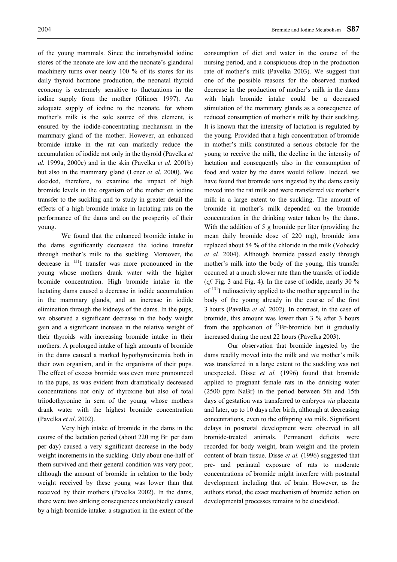machinery turns over nearly 100 % of its stores for its daily thyroid hormone production, the neonatal thyroid economy is extremely sensitive to fluctuations in the iodine supply from the mother (Glinoer 1997). An adequate supply of iodine to the neonate, for whom mother's milk is the sole source of this element, is ensured by the iodide-concentrating mechanism in the mammary gland of the mother. However, an enhanced bromide intake in the rat can markedly reduce the accumulation of iodide not only in the thyroid (Pavelka *et al.* 1999a, 2000c) and in the skin (Pavelka *et al*. 2001b) but also in the mammary gland (Lener *et al*. 2000). We decided, therefore, to examine the impact of high bromide levels in the organism of the mother on iodine transfer to the suckling and to study in greater detail the effects of a high bromide intake in lactating rats on the performance of the dams and on the prosperity of their young.

 We found that the enhanced bromide intake in the dams significantly decreased the iodine transfer through mother's milk to the suckling. Moreover, the decrease in 131I transfer was more pronounced in the young whose mothers drank water with the higher bromide concentration. High bromide intake in the lactating dams caused a decrease in iodide accumulation in the mammary glands, and an increase in iodide elimination through the kidneys of the dams. In the pups, we observed a significant decrease in the body weight gain and a significant increase in the relative weight of their thyroids with increasing bromide intake in their mothers. A prolonged intake of high amounts of bromide in the dams caused a marked hypothyroxinemia both in their own organism, and in the organisms of their pups. The effect of excess bromide was even more pronounced in the pups, as was evident from dramatically decreased concentrations not only of thyroxine but also of total triiodothyronine in sera of the young whose mothers drank water with the highest bromide concentration (Pavelka *et al*. 2002).

 Very high intake of bromide in the dams in the course of the lactation period (about 220 mg Br<sup>-</sup> per dam per day) caused a very significant decrease in the body weight increments in the suckling. Only about one-half of them survived and their general condition was very poor, although the amount of bromide in relation to the body weight received by these young was lower than that received by their mothers (Pavelka 2002). In the dams, there were two striking consequences undoubtedly caused by a high bromide intake: a stagnation in the extent of the

consumption of diet and water in the course of the nursing period, and a conspicuous drop in the production rate of mother's milk (Pavelka 2003). We suggest that one of the possible reasons for the observed marked decrease in the production of mother's milk in the dams with high bromide intake could be a decreased stimulation of the mammary glands as a consequence of reduced consumption of mother's milk by their suckling. It is known that the intensity of lactation is regulated by the young. Provided that a high concentration of bromide in mother's milk constituted a serious obstacle for the young to receive the milk, the decline in the intensity of lactation and consequently also in the consumption of food and water by the dams would follow. Indeed, we have found that bromide ions ingested by the dams easily moved into the rat milk and were transferred *via* mother's milk in a large extent to the suckling. The amount of bromide in mother's milk depended on the bromide concentration in the drinking water taken by the dams. With the addition of 5 g bromide per liter (providing the mean daily bromide dose of 220 mg), bromide ions replaced about 54 % of the chloride in the milk (Vobecký *et al.* 2004). Although bromide passed easily through mother's milk into the body of the young, this transfer occurred at a much slower rate than the transfer of iodide (*cf.* Fig. 3 and Fig. 4). In the case of iodide, nearly 30  $\%$ of 131I radioactivity applied to the mother appeared in the body of the young already in the course of the first 3 hours (Pavelka *et al.* 2002). In contrast, in the case of bromide, this amount was lower than 3 % after 3 hours from the application of  ${}^{82}Br$ -bromide but it gradually increased during the next 22 hours (Pavelka 2003).

 Our observation that bromide ingested by the dams readily moved into the milk and *via* mother's milk was transferred in a large extent to the suckling was not unexpected. Disse *et al.* (1996) found that bromide applied to pregnant female rats in the drinking water (2500 ppm NaBr) in the period between 5th and 15th days of gestation was transferred to embryos *via* placenta and later, up to 10 days after birth, although at decreasing concentrations, even to the offspring *via* milk. Significant delays in postnatal development were observed in all bromide-treated animals. Permanent deficits were recorded for body weight, brain weight and the protein content of brain tissue. Disse *et al.* (1996) suggested that pre- and perinatal exposure of rats to moderate concentrations of bromide might interfere with postnatal development including that of brain. However, as the authors stated, the exact mechanism of bromide action on developmental processes remains to be elucidated.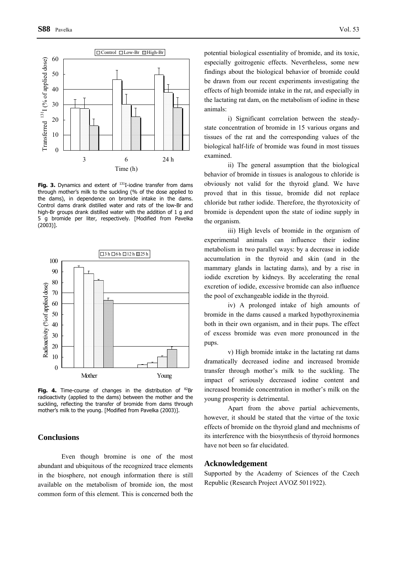

Fig. 3. Dynamics and extent of <sup>131</sup>I-iodine transfer from dams through mother's milk to the suckling (% of the dose applied to the dams), in dependence on bromide intake in the dams. Control dams drank distilled water and rats of the low-Br and high-Br groups drank distilled water with the addition of 1 g and 5 g bromide per liter, respectively. [Modified from Pavelka (2003)].



Fig. 4. Time-course of changes in the distribution of <sup>82</sup>Br radioactivity (applied to the dams) between the mother and the suckling, reflecting the transfer of bromide from dams through mother's milk to the young. [Modified from Pavelka (2003)].

#### **Conclusions**

Even though bromine is one of the most abundant and ubiquitous of the recognized trace elements in the biosphere, not enough information there is still available on the metabolism of bromide ion, the most common form of this element. This is concerned both the

potential biological essentiality of bromide, and its toxic, especially goitrogenic effects. Nevertheless, some new findings about the biological behavior of bromide could be drawn from our recent experiments investigating the effects of high bromide intake in the rat, and especially in the lactating rat dam, on the metabolism of iodine in these animals:

i) Significant correlation between the steadystate concentration of bromide in 15 various organs and tissues of the rat and the corresponding values of the biological half-life of bromide was found in most tissues examined.

ii) The general assumption that the biological behavior of bromide in tissues is analogous to chloride is obviously not valid for the thyroid gland. We have proved that in this tissue, bromide did not replace chloride but rather iodide. Therefore, the thyrotoxicity of bromide is dependent upon the state of iodine supply in the organism.

iii) High levels of bromide in the organism of experimental animals can influence their iodine metabolism in two parallel ways: by a decrease in iodide accumulation in the thyroid and skin (and in the mammary glands in lactating dams), and by a rise in iodide excretion by kidneys. By accelerating the renal excretion of iodide, excessive bromide can also influence the pool of exchangeable iodide in the thyroid.

iv) A prolonged intake of high amounts of bromide in the dams caused a marked hypothyroxinemia both in their own organism, and in their pups. The effect of excess bromide was even more pronounced in the pups.

v) High bromide intake in the lactating rat dams dramatically decreased iodine and increased bromide transfer through mother's milk to the suckling. The impact of seriously decreased iodine content and increased bromide concentration in mother's milk on the young prosperity is detrimental.

Apart from the above partial achievements, however, it should be stated that the virtue of the toxic effects of bromide on the thyroid gland and mechnisms of its interference with the biosynthesis of thyroid hormones have not been so far elucidated.

#### **Acknowledgement**

Supported by the Academy of Sciences of the Czech Republic (Research Project AVOZ 5011922).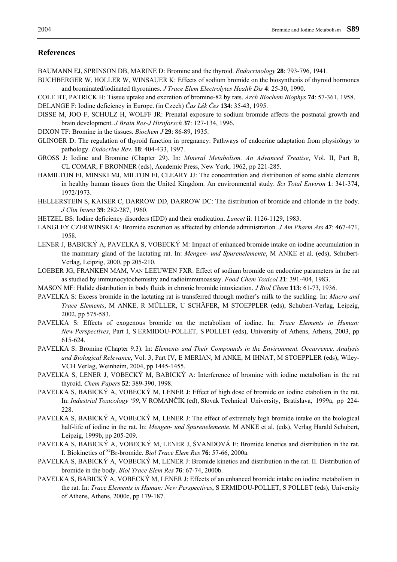#### **References**

- BAUMANN EJ, SPRINSON DB, MARINE D: Bromine and the thyroid. *Endocrinology* **28**: 793-796, 1941.
- BUCHBERGER W, HOLLER W, WINSAUER K: Effects of sodium bromide on the biosynthesis of thyroid hormones and brominated/iodinated thyronines. *J Trace Elem Electrolytes Health Dis* **4**: 25-30, 1990.
- COLE BT, PATRICK H: Tissue uptake and excretion of bromine-82 by rats. *Arch Biochem Biophys* **74**: 57-361, 1958.

DELANGE F: Iodine deficiency in Europe. (in Czech) *Čas Lék Čes* **134**: 35-43, 1995.

- DISSE M, JOO F, SCHULZ H, WOLFF JR: Prenatal exposure to sodium bromide affects the postnatal growth and brain development. *J Brain Res-J Hirnforsch* **37**: 127-134, 1996.
- DIXON TF: Bromine in the tissues. *Biochem J* **29**: 86-89, 1935.
- GLINOER D: The regulation of thyroid function in pregnancy: Pathways of endocrine adaptation from physiology to pathology. *Endocrine Rev.* **18**: 404-433, 1997.
- GROSS J: Iodine and Bromine (Chapter 29). In: *Mineral Metabolism. An Advanced Treatise*, Vol. II, Part B, CL COMAR, F BRONNER (eds), Academic Press, New York, 1962, pp 221-285.
- HAMILTON EI, MINSKI MJ, MILTON EI, CLEARY JJ: The concentration and distribution of some stable elements in healthy human tissues from the United Kingdom. An environmental study. *Sci Total Environ* **1**: 341-374, 1972/1973.
- HELLERSTEIN S, KAISER C, DARROW DD, DARROW DC: The distribution of bromide and chloride in the body. *J Clin Invest* **39**: 282-287, 1960.
- HETZEL BS: Iodine deficiency disorders (IDD) and their eradication. *Lancet* **ii**: 1126-1129, 1983.
- LANGLEY CZERWINSKI A: Bromide excretion as affected by chloride administration. *J Am Pharm Ass* **47**: 467-471, 1958.
- LENER J, BABICKÝ A, PAVELKA S, VOBECKÝ M: Impact of enhanced bromide intake on iodine accumulation in the mammary gland of the lactating rat. In: *Mengen- und Spurenelemente*, M ANKE et al. (eds), Schubert-Verlag, Leipzig, 2000, pp 205-210.
- LOEBER JG, FRANKEN MAM, VAN LEEUWEN FXR: Effect of sodium bromide on endocrine parameters in the rat as studied by immunocytochemistry and radioimmunoassay. *Food Chem Toxicol* **21**: 391-404, 1983.
- MASON MF: Halide distribution in body fluids in chronic bromide intoxication. *J Biol Chem* **113**: 61-73, 1936.
- PAVELKA S: Excess bromide in the lactating rat is transferred through mother's milk to the suckling. In: *Macro and Trace Elements*, M ANKE, R MÜLLER, U SCHÄFER, M STOEPPLER (eds), Schubert-Verlag, Leipzig, 2002, pp 575-583.
- PAVELKA S: Effects of exogenous bromide on the metabolism of iodine. In: *Trace Elements in Human: New Perspectives*, Part I, S ERMIDOU-POLLET, S POLLET (eds), University of Athens, Athens, 2003, pp 615-624.
- PAVELKA S: Bromine (Chapter 9.3). In: *Elements and Their Compounds in the Environment. Occurrence, Analysis and Biological Relevance*, Vol. 3, Part IV, E MERIAN, M ANKE, M IHNAT, M STOEPPLER (eds), Wiley-VCH Verlag, Weinheim, 2004, pp 1445-1455.
- PAVELKA S, LENER J, VOBECKÝ M, BABICKÝ A: Interference of bromine with iodine metabolism in the rat thyroid. *Chem Papers* **52**: 389-390, 1998.
- PAVELKA S, BABICKÝ A, VOBECKÝ M, LENER J: Effect of high dose of bromide on iodine etabolism in the rat. In: *Industrial Toxicology '99*, V ROMANČÍK (ed), Slovak Technical University, Bratislava, 1999a, pp 224- 228.
- PAVELKA S, BABICKÝ A, VOBECKÝ M, LENER J: The effect of extremely high bromide intake on the biological half-life of iodine in the rat. In: *Mengen- und Spurenelemente*, M ANKE et al. (eds), Verlag Harald Schubert, Leipzig, 1999b, pp 205-209.
- PAVELKA S, BABICKÝ A, VOBECKÝ M, LENER J, ŠVANDOVÁ E: Bromide kinetics and distribution in the rat. I. Biokinetics of 82Br-bromide. *Biol Trace Elem Res* **76**: 57-66, 2000a.
- PAVELKA S, BABICKÝ A, VOBECKÝ M, LENER J: Bromide kinetics and distribution in the rat. II. Distribution of bromide in the body. *Biol Trace Elem Res* **76**: 67-74, 2000b.
- PAVELKA S, BABICKÝ A, VOBECKÝ M, LENER J: Effects of an enhanced bromide intake on iodine metabolism in the rat. In: *Trace Elements in Human: New Perspectives*, S ERMIDOU-POLLET, S POLLET (eds), University of Athens, Athens, 2000c, pp 179-187.